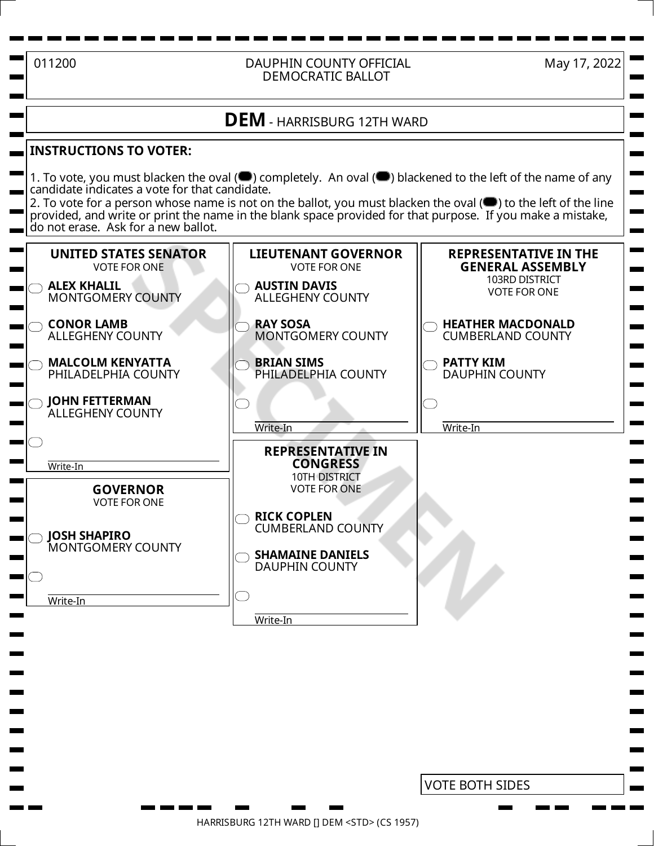## 011200 DAUPHIN COUNTY OFFICIAL DEMOCRATIC BALLOT

May 17, 2022

## **DEM** - HARRISBURG 12TH WARD

## **INSTRUCTIONS TO VOTER:**

1. To vote, you must blacken the oval ( $\bigcirc$ ) completely. An oval ( $\bigcirc$ ) blackened to the left of the name of any candidate indicates a vote for that candidate.

2. To vote for a person whose name is not on the ballot, you must blacken the oval  $(\bullet)$  to the left of the line provided, and write or print the name in the blank space provided for that purpose. If you make a mistake, do not erase. Ask for a new ballot.